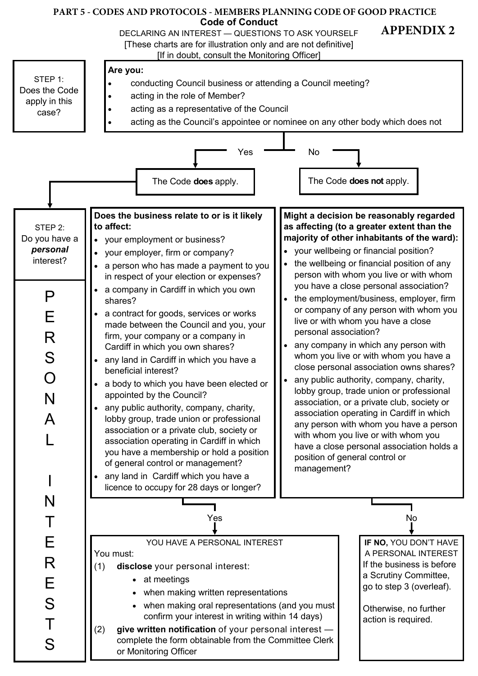## **Code of Conduct PART 5 - CODES AND PROTOCOLS - MEMBERS PLANNING CODE OF GOOD PRACTICE**

DECLARING AN INTEREST — QUESTIONS TO ASK YOURSELF

[These charts are for illustration only and are not definitive]

 **APPENDIX 2**